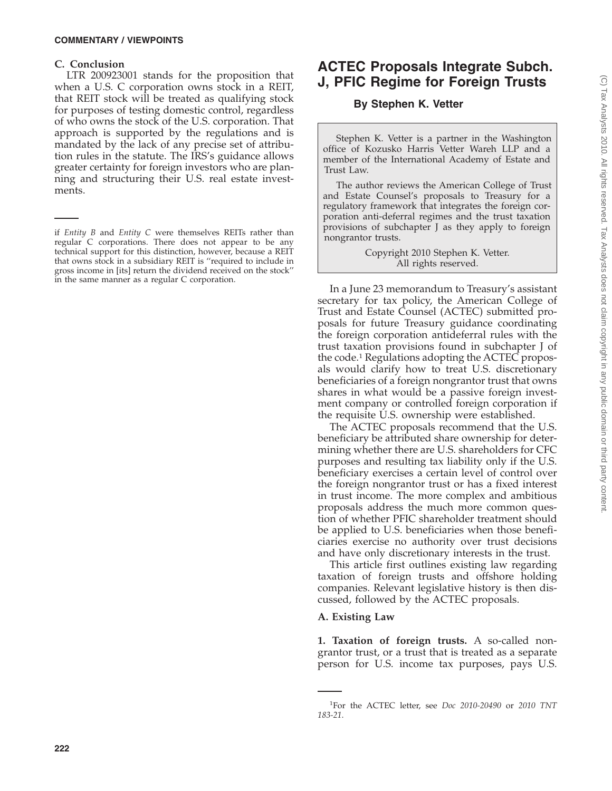### **C. Conclusion**

LTR 200923001 stands for the proposition that when a U.S. C corporation owns stock in a REIT, that REIT stock will be treated as qualifying stock for purposes of testing domestic control, regardless of who owns the stock of the U.S. corporation. That approach is supported by the regulations and is mandated by the lack of any precise set of attribution rules in the statute. The IRS's guidance allows greater certainty for foreign investors who are planning and structuring their U.S. real estate investments.

# **ACTEC Proposals Integrate Subch. J, PFIC Regime for Foreign Trusts**

# **By Stephen K. Vetter**

Stephen K. Vetter is a partner in the Washington office of Kozusko Harris Vetter Wareh LLP and a member of the International Academy of Estate and Trust Law.

The author reviews the American College of Trust and Estate Counsel's proposals to Treasury for a regulatory framework that integrates the foreign corporation anti-deferral regimes and the trust taxation provisions of subchapter J as they apply to foreign nongrantor trusts.

> Copyright 2010 Stephen K. Vetter. All rights reserved.

In a June 23 memorandum to Treasury's assistant secretary for tax policy, the American College of Trust and Estate Counsel (ACTEC) submitted proposals for future Treasury guidance coordinating the foreign corporation antideferral rules with the trust taxation provisions found in subchapter J of the code.1 Regulations adopting the ACTEC proposals would clarify how to treat U.S. discretionary beneficiaries of a foreign nongrantor trust that owns shares in what would be a passive foreign investment company or controlled foreign corporation if the requisite U.S. ownership were established.

The ACTEC proposals recommend that the U.S. beneficiary be attributed share ownership for determining whether there are U.S. shareholders for CFC purposes and resulting tax liability only if the U.S. beneficiary exercises a certain level of control over the foreign nongrantor trust or has a fixed interest in trust income. The more complex and ambitious proposals address the much more common question of whether PFIC shareholder treatment should be applied to U.S. beneficiaries when those beneficiaries exercise no authority over trust decisions and have only discretionary interests in the trust.

This article first outlines existing law regarding taxation of foreign trusts and offshore holding companies. Relevant legislative history is then discussed, followed by the ACTEC proposals.

# **A. Existing Law**

**1. Taxation of foreign trusts.** A so-called nongrantor trust, or a trust that is treated as a separate person for U.S. income tax purposes, pays U.S.

if *Entity B* and *Entity C* were themselves REITs rather than regular C corporations. There does not appear to be any technical support for this distinction, however, because a REIT that owns stock in a subsidiary REIT is ''required to include in gross income in [its] return the dividend received on the stock'' in the same manner as a regular C corporation.

<sup>1</sup> For the ACTEC letter, see *Doc 2010-20490* or *2010 TNT 183-21*.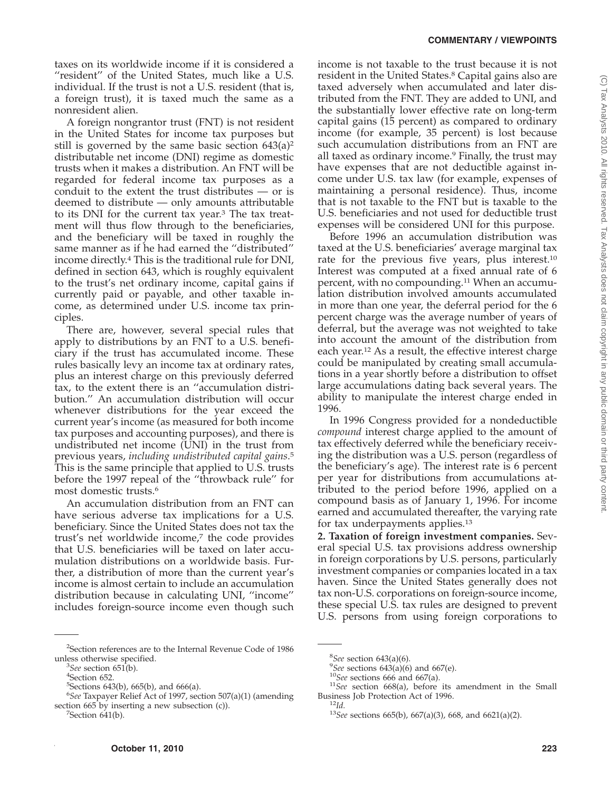taxes on its worldwide income if it is considered a "resident" of the United States, much like a U.S. individual. If the trust is not a U.S. resident (that is, a foreign trust), it is taxed much the same as a nonresident alien.

A foreign nongrantor trust (FNT) is not resident in the United States for income tax purposes but still is governed by the same basic section  $643(a)^2$ distributable net income (DNI) regime as domestic trusts when it makes a distribution. An FNT will be regarded for federal income tax purposes as a conduit to the extent the trust distributes — or is deemed to distribute — only amounts attributable to its DNI for the current tax year.<sup>3</sup> The tax treatment will thus flow through to the beneficiaries, and the beneficiary will be taxed in roughly the same manner as if he had earned the ''distributed'' income directly.4 This is the traditional rule for DNI, defined in section 643, which is roughly equivalent to the trust's net ordinary income, capital gains if currently paid or payable, and other taxable income, as determined under U.S. income tax principles.

There are, however, several special rules that apply to distributions by an FNT to a U.S. beneficiary if the trust has accumulated income. These rules basically levy an income tax at ordinary rates, plus an interest charge on this previously deferred tax, to the extent there is an ''accumulation distribution.'' An accumulation distribution will occur whenever distributions for the year exceed the current year's income (as measured for both income tax purposes and accounting purposes), and there is undistributed net income (UNI) in the trust from previous years, *including undistributed capital gains*. 5 This is the same principle that applied to U.S. trusts before the 1997 repeal of the ''throwback rule'' for most domestic trusts.6

An accumulation distribution from an FNT can have serious adverse tax implications for a U.S. beneficiary. Since the United States does not tax the trust's net worldwide income,<sup>7</sup> the code provides that U.S. beneficiaries will be taxed on later accumulation distributions on a worldwide basis. Further, a distribution of more than the current year's income is almost certain to include an accumulation distribution because in calculating UNI, ''income'' includes foreign-source income even though such

<sup>2</sup>Section references are to the Internal Revenue Code of 1986 unless otherwise specified. <sup>3</sup>

 $7$ Section 641(b).

income is not taxable to the trust because it is not resident in the United States.<sup>8</sup> Capital gains also are taxed adversely when accumulated and later distributed from the FNT. They are added to UNI, and the substantially lower effective rate on long-term capital gains (15 percent) as compared to ordinary income (for example, 35 percent) is lost because such accumulation distributions from an FNT are all taxed as ordinary income.9 Finally, the trust may have expenses that are not deductible against income under U.S. tax law (for example, expenses of maintaining a personal residence). Thus, income that is not taxable to the FNT but is taxable to the U.S. beneficiaries and not used for deductible trust expenses will be considered UNI for this purpose.

Before 1996 an accumulation distribution was taxed at the U.S. beneficiaries' average marginal tax rate for the previous five years, plus interest.10 Interest was computed at a fixed annual rate of 6 percent, with no compounding.11 When an accumulation distribution involved amounts accumulated in more than one year, the deferral period for the 6 percent charge was the average number of years of deferral, but the average was not weighted to take into account the amount of the distribution from each year.12 As a result, the effective interest charge could be manipulated by creating small accumulations in a year shortly before a distribution to offset large accumulations dating back several years. The ability to manipulate the interest charge ended in 1996.

In 1996 Congress provided for a nondeductible *compound* interest charge applied to the amount of tax effectively deferred while the beneficiary receiving the distribution was a U.S. person (regardless of the beneficiary's age). The interest rate is 6 percent per year for distributions from accumulations attributed to the period before 1996, applied on a compound basis as of January 1, 1996. For income earned and accumulated thereafter, the varying rate for tax underpayments applies.13

**2. Taxation of foreign investment companies.** Several special U.S. tax provisions address ownership in foreign corporations by U.S. persons, particularly investment companies or companies located in a tax haven. Since the United States generally does not tax non-U.S. corporations on foreign-source income, these special U.S. tax rules are designed to prevent U.S. persons from using foreign corporations to

*See* section 651(b). <sup>4</sup>

<sup>&</sup>lt;sup>4</sup>Section 652.

<sup>5</sup> Sections 643(b), 665(b), and 666(a).

<sup>6</sup> *See* Taxpayer Relief Act of 1997, section 507(a)(1) (amending section  $665$  by inserting a new subsection  $(c)$ ).

<sup>&</sup>lt;sup>8</sup>See section 643(a)(6).<br><sup>9</sup>See sections 643(a)(6)

<sup>&</sup>lt;sup>9</sup>See sections 643(a)(6) and 667(e).<br><sup>10</sup>See sections 666 and 667(a).<br><sup>11</sup>See section 668(a), before its amendment in the Small<br>Business Job Protection Act of 1996.

<sup>&</sup>lt;sup>12</sup>*Id.* <sup>2</sup><br><sup>13</sup>*See* sections 665(b), 667(a)(3), 668, and 6621(a)(2).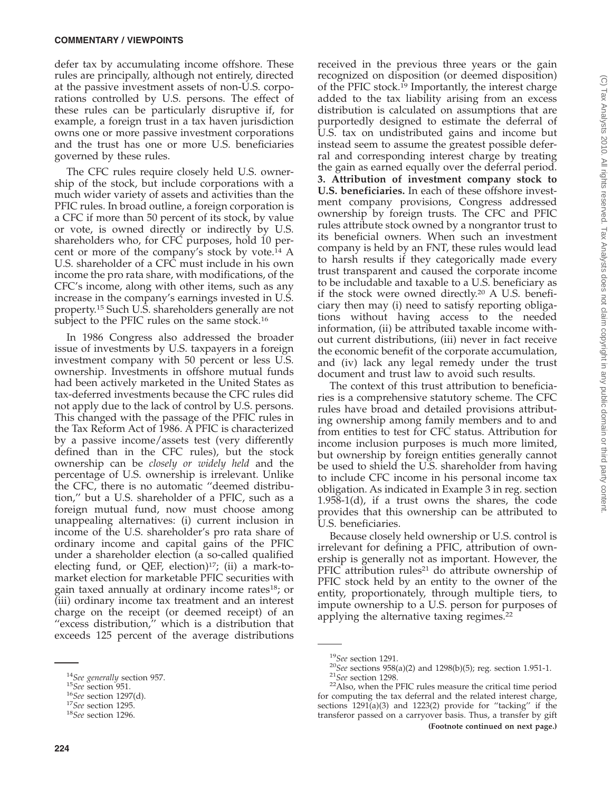defer tax by accumulating income offshore. These rules are principally, although not entirely, directed at the passive investment assets of non-U.S. corporations controlled by U.S. persons. The effect of these rules can be particularly disruptive if, for example, a foreign trust in a tax haven jurisdiction owns one or more passive investment corporations and the trust has one or more U.S. beneficiaries governed by these rules.

The CFC rules require closely held U.S. ownership of the stock, but include corporations with a much wider variety of assets and activities than the PFIC rules. In broad outline, a foreign corporation is a CFC if more than 50 percent of its stock, by value or vote, is owned directly or indirectly by U.S. shareholders who, for CFC purposes, hold 10 percent or more of the company's stock by vote.<sup>14</sup> A U.S. shareholder of a CFC must include in his own income the pro rata share, with modifications, of the CFC's income, along with other items, such as any increase in the company's earnings invested in U.S. property.15 Such U.S. shareholders generally are not subject to the PFIC rules on the same stock.<sup>16</sup>

In 1986 Congress also addressed the broader issue of investments by U.S. taxpayers in a foreign investment company with 50 percent or less U.S. ownership. Investments in offshore mutual funds had been actively marketed in the United States as tax-deferred investments because the CFC rules did not apply due to the lack of control by U.S. persons. This changed with the passage of the PFIC rules in the Tax Reform Act of 1986. A PFIC is characterized by a passive income/assets test (very differently defined than in the CFC rules), but the stock ownership can be *closely or widely held* and the percentage of U.S. ownership is irrelevant. Unlike the CFC, there is no automatic ''deemed distribution,'' but a U.S. shareholder of a PFIC, such as a foreign mutual fund, now must choose among unappealing alternatives: (i) current inclusion in income of the U.S. shareholder's pro rata share of ordinary income and capital gains of the PFIC under a shareholder election (a so-called qualified electing fund, or QEF, election) $17$ ; (ii) a mark-tomarket election for marketable PFIC securities with gain taxed annually at ordinary income rates<sup>18</sup>; or (iii) ordinary income tax treatment and an interest charge on the receipt (or deemed receipt) of an "excess distribution," which is a distribution that exceeds 125 percent of the average distributions

received in the previous three years or the gain recognized on disposition (or deemed disposition) of the PFIC stock.<sup>19</sup> Importantly, the interest charge added to the tax liability arising from an excess distribution is calculated on assumptions that are purportedly designed to estimate the deferral of U.S. tax on undistributed gains and income but instead seem to assume the greatest possible deferral and corresponding interest charge by treating the gain as earned equally over the deferral period. **3. Attribution of investment company stock to U.S. beneficiaries.** In each of these offshore investment company provisions, Congress addressed ownership by foreign trusts. The CFC and PFIC rules attribute stock owned by a nongrantor trust to its beneficial owners. When such an investment company is held by an FNT, these rules would lead to harsh results if they categorically made every trust transparent and caused the corporate income to be includable and taxable to a U.S. beneficiary as if the stock were owned directly.20 A U.S. beneficiary then may (i) need to satisfy reporting obligations without having access to the needed information, (ii) be attributed taxable income without current distributions, (iii) never in fact receive the economic benefit of the corporate accumulation, and (iv) lack any legal remedy under the trust document and trust law to avoid such results.

The context of this trust attribution to beneficiaries is a comprehensive statutory scheme. The CFC rules have broad and detailed provisions attributing ownership among family members and to and from entities to test for CFC status. Attribution for income inclusion purposes is much more limited, but ownership by foreign entities generally cannot be used to shield the U.S. shareholder from having to include CFC income in his personal income tax obligation. As indicated in Example 3 in reg. section 1.958-1(d), if a trust owns the shares, the code provides that this ownership can be attributed to U.S. beneficiaries.

Because closely held ownership or U.S. control is irrelevant for defining a PFIC, attribution of ownership is generally not as important. However, the  $PFIC$  attribution rules<sup>21</sup> do attribute ownership of PFIC stock held by an entity to the owner of the entity, proportionately, through multiple tiers, to impute ownership to a U.S. person for purposes of applying the alternative taxing regimes.<sup>22</sup>

<sup>&</sup>lt;sup>14</sup>See generally section 957.<br><sup>15</sup>See section 951.<br><sup>16</sup>See section 1297(d).<br><sup>17</sup>See section 1295.<br><sup>18</sup>See section 1296.

<sup>19</sup>*See* section 1291. <sup>20</sup>*See* sections 958(a)(2) and 1298(b)(5); reg. section 1.951-1. <sup>21</sup>*See* section 1298. 22Also, when the PFIC rules measure the critical time period

for computing the tax deferral and the related interest charge, sections 1291(a)(3) and 1223(2) provide for ''tacking'' if the transferor passed on a carryover basis. Thus, a transfer by gift **(Footnote continued on next page.)**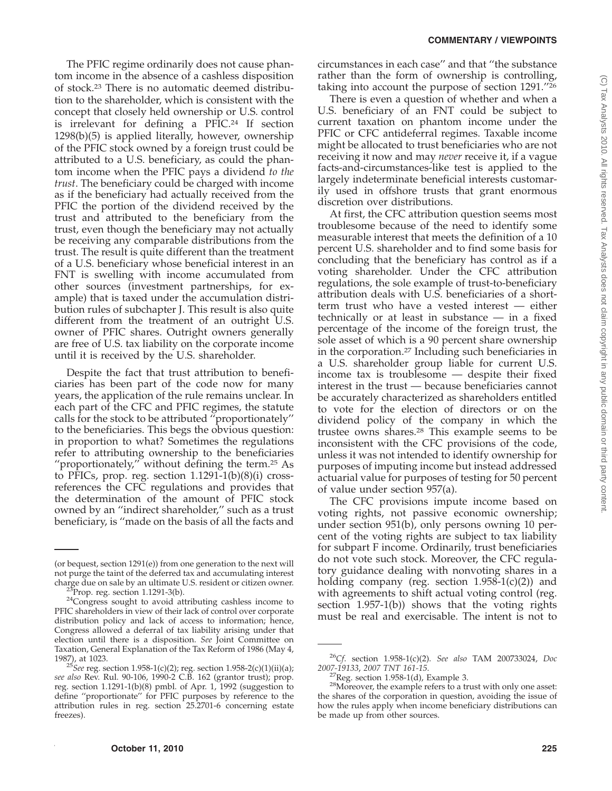The PFIC regime ordinarily does not cause phantom income in the absence of a cashless disposition of stock.23 There is no automatic deemed distribution to the shareholder, which is consistent with the concept that closely held ownership or U.S. control is irrelevant for defining a PFIC.<sup>24</sup> If section 1298(b)(5) is applied literally, however, ownership of the PFIC stock owned by a foreign trust could be attributed to a U.S. beneficiary, as could the phantom income when the PFIC pays a dividend *to the trust*. The beneficiary could be charged with income as if the beneficiary had actually received from the PFIC the portion of the dividend received by the trust and attributed to the beneficiary from the trust, even though the beneficiary may not actually be receiving any comparable distributions from the trust. The result is quite different than the treatment of a U.S. beneficiary whose beneficial interest in an FNT is swelling with income accumulated from other sources (investment partnerships, for example) that is taxed under the accumulation distribution rules of subchapter J. This result is also quite different from the treatment of an outright U.S. owner of PFIC shares. Outright owners generally are free of U.S. tax liability on the corporate income until it is received by the U.S. shareholder.

Despite the fact that trust attribution to beneficiaries has been part of the code now for many years, the application of the rule remains unclear. In each part of the CFC and PFIC regimes, the statute calls for the stock to be attributed  $\alpha$ <sup>r</sup> proportionately" to the beneficiaries. This begs the obvious question: in proportion to what? Sometimes the regulations refer to attributing ownership to the beneficiaries "proportionately," without defining the term. $25$  As to PFICs, prop. reg. section  $1.1291-1(b)(8)(i)$  crossreferences the CFC regulations and provides that the determination of the amount of PFIC stock owned by an ''indirect shareholder,'' such as a trust beneficiary, is ''made on the basis of all the facts and

circumstances in each case'' and that ''the substance rather than the form of ownership is controlling, taking into account the purpose of section 1291.''26

There is even a question of whether and when a U.S. beneficiary of an FNT could be subject to current taxation on phantom income under the PFIC or CFC antideferral regimes. Taxable income might be allocated to trust beneficiaries who are not receiving it now and may *never* receive it, if a vague facts-and-circumstances-like test is applied to the largely indeterminate beneficial interests customarily used in offshore trusts that grant enormous discretion over distributions.

At first, the CFC attribution question seems most troublesome because of the need to identify some measurable interest that meets the definition of a 10 percent U.S. shareholder and to find some basis for concluding that the beneficiary has control as if a voting shareholder. Under the CFC attribution regulations, the sole example of trust-to-beneficiary attribution deals with U.S. beneficiaries of a shortterm trust who have a vested interest — either technically or at least in substance — in a fixed percentage of the income of the foreign trust, the sole asset of which is a 90 percent share ownership in the corporation.27 Including such beneficiaries in a U.S. shareholder group liable for current U.S. income tax is troublesome — despite their fixed interest in the trust — because beneficiaries cannot be accurately characterized as shareholders entitled to vote for the election of directors or on the dividend policy of the company in which the trustee owns shares.28 This example seems to be inconsistent with the CFC provisions of the code, unless it was not intended to identify ownership for purposes of imputing income but instead addressed actuarial value for purposes of testing for 50 percent of value under section 957(a).

The CFC provisions impute income based on voting rights, not passive economic ownership; under section 951(b), only persons owning 10 percent of the voting rights are subject to tax liability for subpart F income. Ordinarily, trust beneficiaries do not vote such stock. Moreover, the CFC regulatory guidance dealing with nonvoting shares in a holding company (reg. section  $1.958-1(c)(2)$ ) and with agreements to shift actual voting control (reg. section 1.957-1(b)) shows that the voting rights must be real and exercisable. The intent is not to

<sup>(</sup>or bequest, section 1291(e)) from one generation to the next will not purge the taint of the deferred tax and accumulating interest

<sup>&</sup>lt;sup>23</sup>Prop. reg. section 1.1291-3(b).  $24$ Congress sought to avoid attributing cashless income to PFIC shareholders in view of their lack of control over corporate distribution policy and lack of access to information; hence, Congress allowed a deferral of tax liability arising under that election until there is a disposition. *See* Joint Committee on Taxation, General Explanation of the Tax Reform of 1986 (May 4, 1987), at 1023.

<sup>&</sup>lt;sup>25</sup>See reg. section 1.958-1(c)(2); reg. section 1.958-2(c)(1)(ii)(a); *see also* Rev. Rul. 90-106, 1990-2 C.B. 162 (grantor trust); prop. reg. section 1.1291-1(b)(8) pmbl. of Apr. 1, 1992 (suggestion to define ''proportionate'' for PFIC purposes by reference to the attribution rules in reg. section 25.2701-6 concerning estate freezes).

<sup>26</sup>*Cf*. section 1.958-1(c)(2). *See also* TAM 200733024, *Doc*

<sup>&</sup>lt;sup>27</sup>Reg. section 1.958-1(d), Example 3.<br><sup>28</sup>Moreover, the example refers to a trust with only one asset: the shares of the corporation in question, avoiding the issue of how the rules apply when income beneficiary distributions can be made up from other sources.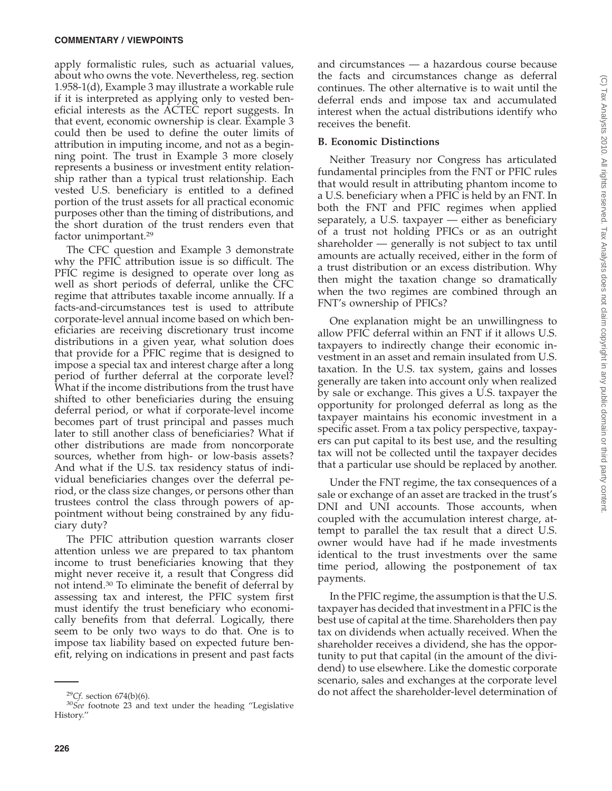apply formalistic rules, such as actuarial values, about who owns the vote. Nevertheless, reg. section 1.958-1(d), Example 3 may illustrate a workable rule if it is interpreted as applying only to vested beneficial interests as the ACTEC report suggests. In that event, economic ownership is clear. Example 3 could then be used to define the outer limits of attribution in imputing income, and not as a beginning point. The trust in Example 3 more closely represents a business or investment entity relationship rather than a typical trust relationship. Each vested U.S. beneficiary is entitled to a defined portion of the trust assets for all practical economic purposes other than the timing of distributions, and the short duration of the trust renders even that factor unimportant.29

The CFC question and Example 3 demonstrate why the PFIC attribution issue is so difficult. The PFIC regime is designed to operate over long as well as short periods of deferral, unlike the CFC regime that attributes taxable income annually. If a facts-and-circumstances test is used to attribute corporate-level annual income based on which beneficiaries are receiving discretionary trust income distributions in a given year, what solution does that provide for a PFIC regime that is designed to impose a special tax and interest charge after a long period of further deferral at the corporate level? What if the income distributions from the trust have shifted to other beneficiaries during the ensuing deferral period, or what if corporate-level income becomes part of trust principal and passes much later to still another class of beneficiaries? What if other distributions are made from noncorporate sources, whether from high- or low-basis assets? And what if the U.S. tax residency status of individual beneficiaries changes over the deferral period, or the class size changes, or persons other than trustees control the class through powers of appointment without being constrained by any fiduciary duty?

The PFIC attribution question warrants closer attention unless we are prepared to tax phantom income to trust beneficiaries knowing that they might never receive it, a result that Congress did not intend.30 To eliminate the benefit of deferral by assessing tax and interest, the PFIC system first must identify the trust beneficiary who economically benefits from that deferral. Logically, there seem to be only two ways to do that. One is to impose tax liability based on expected future benefit, relying on indications in present and past facts

and circumstances — a hazardous course because the facts and circumstances change as deferral continues. The other alternative is to wait until the deferral ends and impose tax and accumulated interest when the actual distributions identify who receives the benefit.

#### **B. Economic Distinctions**

Neither Treasury nor Congress has articulated fundamental principles from the FNT or PFIC rules that would result in attributing phantom income to a U.S. beneficiary when a PFIC is held by an FNT. In both the FNT and PFIC regimes when applied separately, a U.S. taxpayer — either as beneficiary of a trust not holding PFICs or as an outright shareholder — generally is not subject to tax until amounts are actually received, either in the form of a trust distribution or an excess distribution. Why then might the taxation change so dramatically when the two regimes are combined through an FNT's ownership of PFICs?

One explanation might be an unwillingness to allow PFIC deferral within an FNT if it allows U.S. taxpayers to indirectly change their economic investment in an asset and remain insulated from U.S. taxation. In the U.S. tax system, gains and losses generally are taken into account only when realized by sale or exchange. This gives a U.S. taxpayer the opportunity for prolonged deferral as long as the taxpayer maintains his economic investment in a specific asset. From a tax policy perspective, taxpayers can put capital to its best use, and the resulting tax will not be collected until the taxpayer decides that a particular use should be replaced by another.

Under the FNT regime, the tax consequences of a sale or exchange of an asset are tracked in the trust's DNI and UNI accounts. Those accounts, when coupled with the accumulation interest charge, attempt to parallel the tax result that a direct U.S. owner would have had if he made investments identical to the trust investments over the same time period, allowing the postponement of tax payments.

In the PFIC regime, the assumption is that the U.S. taxpayer has decided that investment in a PFIC is the best use of capital at the time. Shareholders then pay tax on dividends when actually received. When the shareholder receives a dividend, she has the opportunity to put that capital (in the amount of the dividend) to use elsewhere. Like the domestic corporate scenario, sales and exchanges at the corporate level

<sup>&</sup>lt;sup>29</sup>Cf. section 674(b)(6).<br><sup>30</sup>*See* footnote 23 and text under the heading "Legislative History.''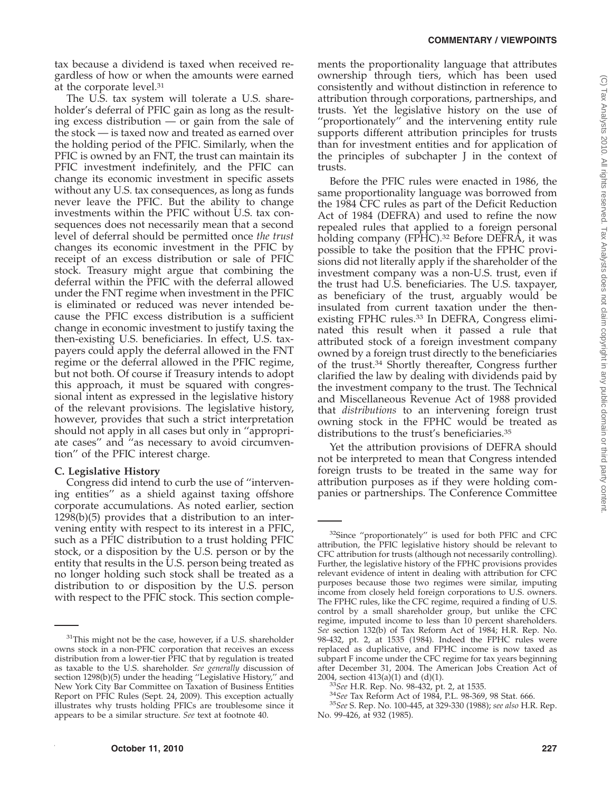tax because a dividend is taxed when received regardless of how or when the amounts were earned at the corporate level.31

The U.S. tax system will tolerate a U.S. shareholder's deferral of PFIC gain as long as the resulting excess distribution — or gain from the sale of the stock — is taxed now and treated as earned over the holding period of the PFIC. Similarly, when the PFIC is owned by an FNT, the trust can maintain its PFIC investment indefinitely, and the PFIC can change its economic investment in specific assets without any U.S. tax consequences, as long as funds never leave the PFIC. But the ability to change investments within the PFIC without U.S. tax consequences does not necessarily mean that a second level of deferral should be permitted once *the trust* changes its economic investment in the PFIC by receipt of an excess distribution or sale of PFIC stock. Treasury might argue that combining the deferral within the PFIC with the deferral allowed under the FNT regime when investment in the PFIC is eliminated or reduced was never intended because the PFIC excess distribution is a sufficient change in economic investment to justify taxing the then-existing U.S. beneficiaries. In effect, U.S. taxpayers could apply the deferral allowed in the FNT regime or the deferral allowed in the PFIC regime, but not both. Of course if Treasury intends to adopt this approach, it must be squared with congressional intent as expressed in the legislative history of the relevant provisions. The legislative history, however, provides that such a strict interpretation should not apply in all cases but only in ''appropriate cases'' and ''as necessary to avoid circumvention'' of the PFIC interest charge.

#### **C. Legislative History**

Congress did intend to curb the use of ''intervening entities'' as a shield against taxing offshore corporate accumulations. As noted earlier, section 1298(b)(5) provides that a distribution to an intervening entity with respect to its interest in a PFIC, such as a PFIC distribution to a trust holding PFIC stock, or a disposition by the U.S. person or by the entity that results in the U.S. person being treated as no longer holding such stock shall be treated as a distribution to or disposition by the U.S. person with respect to the PFIC stock. This section complements the proportionality language that attributes ownership through tiers, which has been used consistently and without distinction in reference to attribution through corporations, partnerships, and trusts. Yet the legislative history on the use of ''proportionately'' and the intervening entity rule supports different attribution principles for trusts than for investment entities and for application of the principles of subchapter J in the context of trusts.

Before the PFIC rules were enacted in 1986, the same proportionality language was borrowed from the 1984 CFC rules as part of the Deficit Reduction Act of 1984 (DEFRA) and used to refine the now repealed rules that applied to a foreign personal holding company (FPHC).<sup>32</sup> Before DEFRA, it was possible to take the position that the FPHC provisions did not literally apply if the shareholder of the investment company was a non-U.S. trust, even if the trust had U.S. beneficiaries. The U.S. taxpayer, as beneficiary of the trust, arguably would be insulated from current taxation under the thenexisting FPHC rules.33 In DEFRA, Congress eliminated this result when it passed a rule that attributed stock of a foreign investment company owned by a foreign trust directly to the beneficiaries of the trust.34 Shortly thereafter, Congress further clarified the law by dealing with dividends paid by the investment company to the trust. The Technical and Miscellaneous Revenue Act of 1988 provided that *distributions* to an intervening foreign trust owning stock in the FPHC would be treated as distributions to the trust's beneficiaries.35

Yet the attribution provisions of DEFRA should not be interpreted to mean that Congress intended foreign trusts to be treated in the same way for attribution purposes as if they were holding companies or partnerships. The Conference Committee

<sup>&</sup>lt;sup>31</sup>This might not be the case, however, if a U.S. shareholder owns stock in a non-PFIC corporation that receives an excess distribution from a lower-tier PFIC that by regulation is treated as taxable to the U.S. shareholder. *See generally* discussion of section 1298(b)(5) under the heading ''Legislative History,'' and New York City Bar Committee on Taxation of Business Entities Report on PFIC Rules (Sept. 24, 2009). This exception actually illustrates why trusts holding PFICs are troublesome since it appears to be a similar structure. *See* text at footnote 40.

<sup>&</sup>lt;sup>32</sup>Since "proportionately" is used for both PFIC and CFC attribution, the PFIC legislative history should be relevant to CFC attribution for trusts (although not necessarily controlling). Further, the legislative history of the FPHC provisions provides relevant evidence of intent in dealing with attribution for CFC purposes because those two regimes were similar, imputing income from closely held foreign corporations to U.S. owners. The FPHC rules, like the CFC regime, required a finding of U.S. control by a small shareholder group, but unlike the CFC regime, imputed income to less than 10 percent shareholders. *See* section 132(b) of Tax Reform Act of 1984; H.R. Rep. No. 98-432, pt. 2, at 1535 (1984). Indeed the FPHC rules were replaced as duplicative, and FPHC income is now taxed as subpart F income under the CFC regime for tax years beginning after December 31, 2004. The American Jobs Creation Act of  $2004$ , section  $413(a)(1)$  and  $(d)(1)$ .

<sup>&</sup>lt;sup>33</sup>See H.R. Rep. No. 98-432, pt. 2, at 1535.<br><sup>34</sup>See Tax Reform Act of 1984, P.L. 98-369, 98 Stat. 666.<br><sup>35</sup>See S. Rep. No. 100-445, at 329-330 (1988); see also H.R. Rep. No. 99-426, at 932 (1985).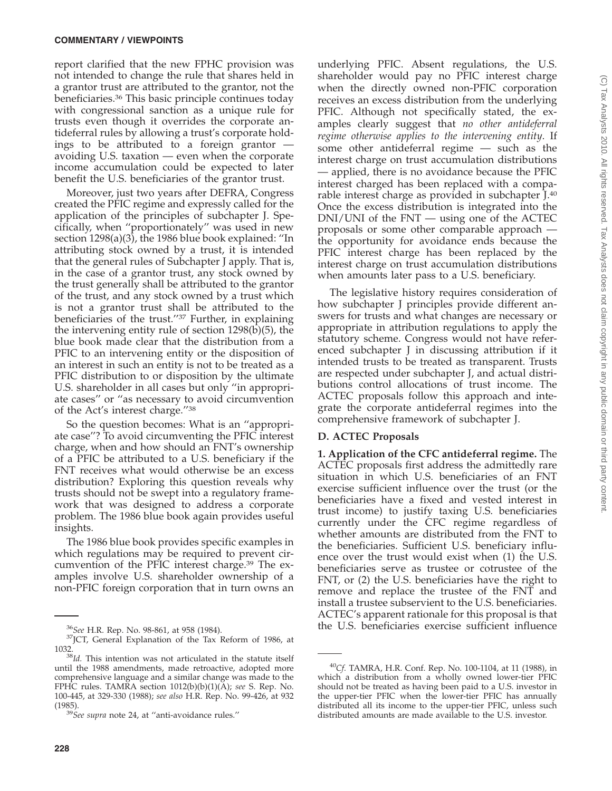report clarified that the new FPHC provision was not intended to change the rule that shares held in a grantor trust are attributed to the grantor, not the beneficiaries.36 This basic principle continues today with congressional sanction as a unique rule for trusts even though it overrides the corporate antideferral rules by allowing a trust's corporate holdings to be attributed to a foreign grantor avoiding U.S. taxation — even when the corporate income accumulation could be expected to later benefit the U.S. beneficiaries of the grantor trust.

Moreover, just two years after DEFRA, Congress created the PFIC regime and expressly called for the application of the principles of subchapter J. Specifically, when ''proportionately'' was used in new section 1298(a)(3), the 1986 blue book explained: ''In attributing stock owned by a trust, it is intended that the general rules of Subchapter J apply. That is, in the case of a grantor trust, any stock owned by the trust generally shall be attributed to the grantor of the trust, and any stock owned by a trust which is not a grantor trust shall be attributed to the beneficiaries of the trust.''37 Further, in explaining the intervening entity rule of section 1298(b)(5), the blue book made clear that the distribution from a PFIC to an intervening entity or the disposition of an interest in such an entity is not to be treated as a PFIC distribution to or disposition by the ultimate U.S. shareholder in all cases but only ''in appropriate cases'' or ''as necessary to avoid circumvention of the Act's interest charge.''38

So the question becomes: What is an ''appropriate case''? To avoid circumventing the PFIC interest charge, when and how should an FNT's ownership of a PFIC be attributed to a U.S. beneficiary if the FNT receives what would otherwise be an excess distribution? Exploring this question reveals why trusts should not be swept into a regulatory framework that was designed to address a corporate problem. The 1986 blue book again provides useful insights.

The 1986 blue book provides specific examples in which regulations may be required to prevent circumvention of the PFIC interest charge.<sup>39</sup> The examples involve U.S. shareholder ownership of a non-PFIC foreign corporation that in turn owns an underlying PFIC. Absent regulations, the U.S. shareholder would pay no PFIC interest charge when the directly owned non-PFIC corporation receives an excess distribution from the underlying PFIC. Although not specifically stated, the examples clearly suggest that *no other antideferral regime otherwise applies to the intervening entity*. If some other antideferral regime — such as the interest charge on trust accumulation distributions — applied, there is no avoidance because the PFIC interest charged has been replaced with a comparable interest charge as provided in subchapter J.40 Once the excess distribution is integrated into the DNI/UNI of the FNT — using one of the ACTEC proposals or some other comparable approach the opportunity for avoidance ends because the PFIC interest charge has been replaced by the interest charge on trust accumulation distributions when amounts later pass to a U.S. beneficiary.

The legislative history requires consideration of how subchapter J principles provide different answers for trusts and what changes are necessary or appropriate in attribution regulations to apply the statutory scheme. Congress would not have referenced subchapter J in discussing attribution if it intended trusts to be treated as transparent. Trusts are respected under subchapter J, and actual distributions control allocations of trust income. The ACTEC proposals follow this approach and integrate the corporate antideferral regimes into the comprehensive framework of subchapter J.

### **D. ACTEC Proposals**

**1. Application of the CFC antideferral regime.** The ACTEC proposals first address the admittedly rare situation in which U.S. beneficiaries of an FNT exercise sufficient influence over the trust (or the beneficiaries have a fixed and vested interest in trust income) to justify taxing U.S. beneficiaries currently under the CFC regime regardless of whether amounts are distributed from the FNT to the beneficiaries. Sufficient U.S. beneficiary influence over the trust would exist when (1) the U.S. beneficiaries serve as trustee or cotrustee of the FNT, or (2) the U.S. beneficiaries have the right to remove and replace the trustee of the FNT and install a trustee subservient to the U.S. beneficiaries. ACTEC's apparent rationale for this proposal is that

<sup>&</sup>lt;sup>36</sup> See H.R. Rep. No. 98-861, at 958 (1984). **36 the U.S. beneficiaries exercise sufficient influence** <sup>37</sup> JCT, General Explanation of the Tax Reform of 1986, at 1032.

<sup>&</sup>lt;sup>38</sup>Id. This intention was not articulated in the statute itself until the 1988 amendments, made retroactive, adopted more comprehensive language and a similar change was made to the FPHC rules. TAMRA section 1012(b)(b)(1)(A); *see* S. Rep. No. 100-445, at 329-330 (1988); *see also* H.R. Rep. No. 99-426, at 932

<sup>(1985).</sup> <sup>39</sup>*See supra* note 24, at ''anti-avoidance rules.''

<sup>40</sup>*Cf.* TAMRA, H.R. Conf. Rep. No. 100-1104, at 11 (1988), in which a distribution from a wholly owned lower-tier PFIC should not be treated as having been paid to a U.S. investor in the upper-tier PFIC when the lower-tier PFIC has annually distributed all its income to the upper-tier PFIC, unless such distributed amounts are made available to the U.S. investor.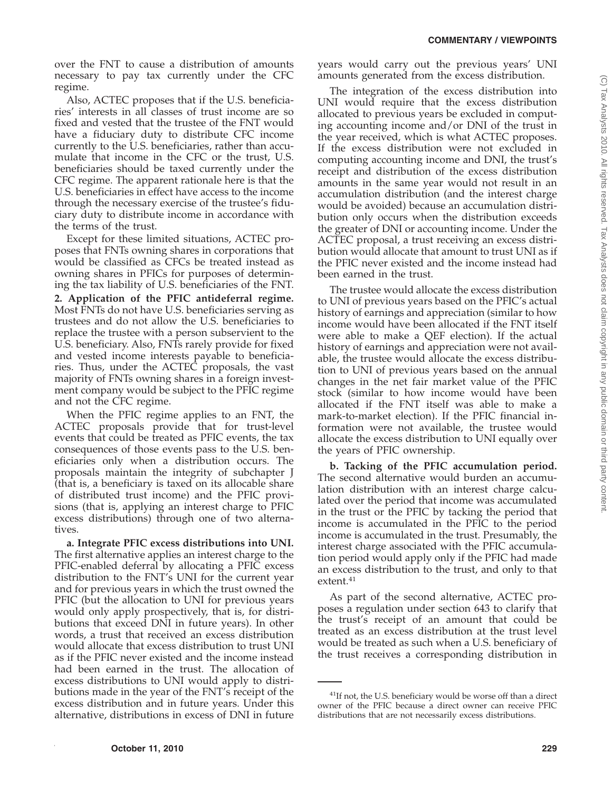over the FNT to cause a distribution of amounts necessary to pay tax currently under the CFC regime.

Also, ACTEC proposes that if the U.S. beneficiaries' interests in all classes of trust income are so fixed and vested that the trustee of the FNT would have a fiduciary duty to distribute CFC income currently to the U.S. beneficiaries, rather than accumulate that income in the CFC or the trust, U.S. beneficiaries should be taxed currently under the CFC regime. The apparent rationale here is that the U.S. beneficiaries in effect have access to the income through the necessary exercise of the trustee's fiduciary duty to distribute income in accordance with the terms of the trust.

Except for these limited situations, ACTEC proposes that FNTs owning shares in corporations that would be classified as CFCs be treated instead as owning shares in PFICs for purposes of determining the tax liability of U.S. beneficiaries of the FNT. **2. Application of the PFIC antideferral regime.** Most FNTs do not have U.S. beneficiaries serving as trustees and do not allow the U.S. beneficiaries to replace the trustee with a person subservient to the U.S. beneficiary. Also, FNTs rarely provide for fixed and vested income interests payable to beneficiaries. Thus, under the ACTEC proposals, the vast majority of FNTs owning shares in a foreign investment company would be subject to the PFIC regime and not the CFC regime.

When the PFIC regime applies to an FNT, the ACTEC proposals provide that for trust-level events that could be treated as PFIC events, the tax consequences of those events pass to the U.S. beneficiaries only when a distribution occurs. The proposals maintain the integrity of subchapter J (that is, a beneficiary is taxed on its allocable share of distributed trust income) and the PFIC provisions (that is, applying an interest charge to PFIC excess distributions) through one of two alternatives.

**a. Integrate PFIC excess distributions into UNI.** The first alternative applies an interest charge to the PFIC-enabled deferral by allocating a PFIC excess distribution to the FNT's UNI for the current year and for previous years in which the trust owned the PFIC (but the allocation to UNI for previous years would only apply prospectively, that is, for distributions that exceed DNI in future years). In other words, a trust that received an excess distribution would allocate that excess distribution to trust UNI as if the PFIC never existed and the income instead had been earned in the trust. The allocation of excess distributions to UNI would apply to distributions made in the year of the FNT's receipt of the excess distribution and in future years. Under this alternative, distributions in excess of DNI in future

years would carry out the previous years' UNI amounts generated from the excess distribution.

The integration of the excess distribution into UNI would require that the excess distribution allocated to previous years be excluded in computing accounting income and/or DNI of the trust in the year received, which is what ACTEC proposes. If the excess distribution were not excluded in computing accounting income and DNI, the trust's receipt and distribution of the excess distribution amounts in the same year would not result in an accumulation distribution (and the interest charge would be avoided) because an accumulation distribution only occurs when the distribution exceeds the greater of DNI or accounting income. Under the ACTEC proposal, a trust receiving an excess distribution would allocate that amount to trust UNI as if the PFIC never existed and the income instead had been earned in the trust.

The trustee would allocate the excess distribution to UNI of previous years based on the PFIC's actual history of earnings and appreciation (similar to how income would have been allocated if the FNT itself were able to make a QEF election). If the actual history of earnings and appreciation were not available, the trustee would allocate the excess distribution to UNI of previous years based on the annual changes in the net fair market value of the PFIC stock (similar to how income would have been allocated if the FNT itself was able to make a mark-to-market election). If the PFIC financial information were not available, the trustee would allocate the excess distribution to UNI equally over the years of PFIC ownership.

**b. Tacking of the PFIC accumulation period.** The second alternative would burden an accumulation distribution with an interest charge calculated over the period that income was accumulated in the trust or the PFIC by tacking the period that income is accumulated in the PFIC to the period income is accumulated in the trust. Presumably, the interest charge associated with the PFIC accumulation period would apply only if the PFIC had made an excess distribution to the trust, and only to that extent.41

As part of the second alternative, ACTEC proposes a regulation under section 643 to clarify that the trust's receipt of an amount that could be treated as an excess distribution at the trust level would be treated as such when a U.S. beneficiary of the trust receives a corresponding distribution in

 $^{41}$ If not, the U.S. beneficiary would be worse off than a direct owner of the PFIC because a direct owner can receive PFIC distributions that are not necessarily excess distributions.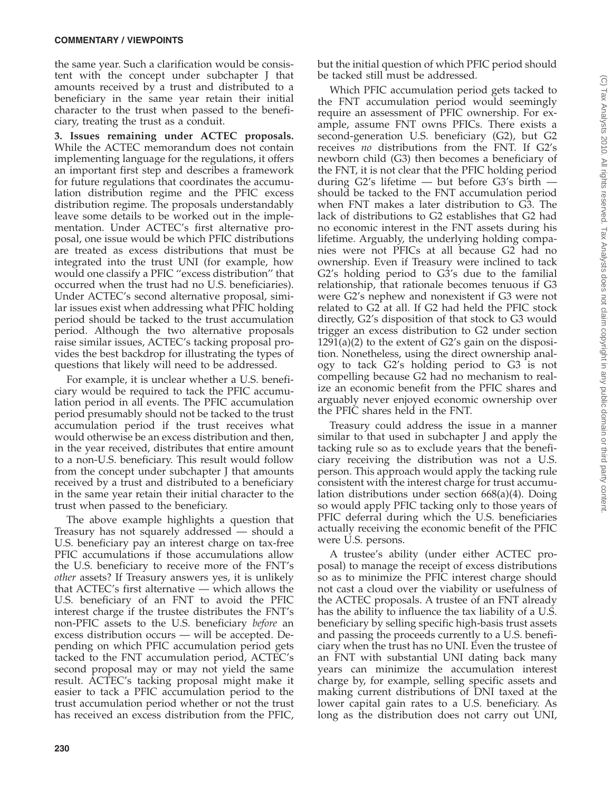the same year. Such a clarification would be consistent with the concept under subchapter J that amounts received by a trust and distributed to a beneficiary in the same year retain their initial character to the trust when passed to the beneficiary, treating the trust as a conduit.

**3. Issues remaining under ACTEC proposals.** While the ACTEC memorandum does not contain implementing language for the regulations, it offers an important first step and describes a framework for future regulations that coordinates the accumulation distribution regime and the PFIC excess distribution regime. The proposals understandably leave some details to be worked out in the implementation. Under ACTEC's first alternative proposal, one issue would be which PFIC distributions are treated as excess distributions that must be integrated into the trust UNI (for example, how would one classify a PFIC ''excess distribution'' that occurred when the trust had no U.S. beneficiaries). Under ACTEC's second alternative proposal, similar issues exist when addressing what PFIC holding period should be tacked to the trust accumulation period. Although the two alternative proposals raise similar issues, ACTEC's tacking proposal provides the best backdrop for illustrating the types of questions that likely will need to be addressed.

For example, it is unclear whether a U.S. beneficiary would be required to tack the PFIC accumulation period in all events. The PFIC accumulation period presumably should not be tacked to the trust accumulation period if the trust receives what would otherwise be an excess distribution and then, in the year received, distributes that entire amount to a non-U.S. beneficiary. This result would follow from the concept under subchapter J that amounts received by a trust and distributed to a beneficiary in the same year retain their initial character to the trust when passed to the beneficiary.

The above example highlights a question that Treasury has not squarely addressed — should a U.S. beneficiary pay an interest charge on tax-free PFIC accumulations if those accumulations allow the U.S. beneficiary to receive more of the FNT's *other* assets? If Treasury answers yes, it is unlikely that ACTEC's first alternative — which allows the U.S. beneficiary of an FNT to avoid the PFIC interest charge if the trustee distributes the FNT's non-PFIC assets to the U.S. beneficiary *before* an excess distribution occurs — will be accepted. Depending on which PFIC accumulation period gets tacked to the FNT accumulation period, ACTEC's second proposal may or may not yield the same result. ACTEC's tacking proposal might make it easier to tack a PFIC accumulation period to the trust accumulation period whether or not the trust has received an excess distribution from the PFIC,

but the initial question of which PFIC period should be tacked still must be addressed.

Which PFIC accumulation period gets tacked to the FNT accumulation period would seemingly require an assessment of PFIC ownership. For example, assume FNT owns PFICs. There exists a second-generation U.S. beneficiary (G2), but G2 receives *no* distributions from the FNT. If G2's newborn child (G3) then becomes a beneficiary of the FNT, it is not clear that the PFIC holding period during G2's lifetime — but before G3's birth should be tacked to the FNT accumulation period when FNT makes a later distribution to G3. The lack of distributions to G2 establishes that G2 had no economic interest in the FNT assets during his lifetime. Arguably, the underlying holding companies were not PFICs at all because G2 had no ownership. Even if Treasury were inclined to tack G2's holding period to G3's due to the familial relationship, that rationale becomes tenuous if G3 were G2's nephew and nonexistent if G3 were not related to G2 at all. If G2 had held the PFIC stock directly, G2's disposition of that stock to G3 would trigger an excess distribution to G2 under section  $1291(a)(2)$  to the extent of G2's gain on the disposition. Nonetheless, using the direct ownership analogy to tack G2's holding period to G3 is not compelling because G2 had no mechanism to realize an economic benefit from the PFIC shares and arguably never enjoyed economic ownership over the PFIC shares held in the FNT.

Treasury could address the issue in a manner similar to that used in subchapter J and apply the tacking rule so as to exclude years that the beneficiary receiving the distribution was not a U.S. person. This approach would apply the tacking rule consistent with the interest charge for trust accumulation distributions under section 668(a)(4). Doing so would apply PFIC tacking only to those years of PFIC deferral during which the U.S. beneficiaries actually receiving the economic benefit of the PFIC were U.S. persons.

A trustee's ability (under either ACTEC proposal) to manage the receipt of excess distributions so as to minimize the PFIC interest charge should not cast a cloud over the viability or usefulness of the ACTEC proposals. A trustee of an FNT already has the ability to influence the tax liability of a U.S. beneficiary by selling specific high-basis trust assets and passing the proceeds currently to a U.S. beneficiary when the trust has no UNI. Even the trustee of an FNT with substantial UNI dating back many years can minimize the accumulation interest charge by, for example, selling specific assets and making current distributions of DNI taxed at the lower capital gain rates to a U.S. beneficiary. As long as the distribution does not carry out UNI,

(C) Tax Analysts 2010. All rights reserved. Tax Analysts does not claim copyright in any public domain or third party content.C) Tax Analysts 2010. All rights reserved. Tax Analysts does not claim copyright in any public domain or third party content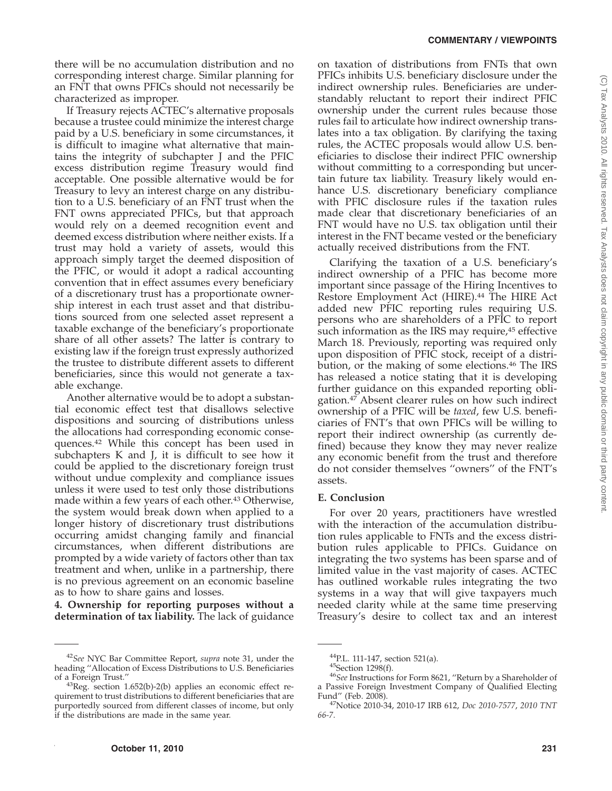there will be no accumulation distribution and no corresponding interest charge. Similar planning for an FNT that owns PFICs should not necessarily be characterized as improper.

If Treasury rejects ACTEC's alternative proposals because a trustee could minimize the interest charge paid by a U.S. beneficiary in some circumstances, it is difficult to imagine what alternative that maintains the integrity of subchapter J and the PFIC excess distribution regime Treasury would find acceptable. One possible alternative would be for Treasury to levy an interest charge on any distribution to a U.S. beneficiary of an FNT trust when the FNT owns appreciated PFICs, but that approach would rely on a deemed recognition event and deemed excess distribution where neither exists. If a trust may hold a variety of assets, would this approach simply target the deemed disposition of the PFIC, or would it adopt a radical accounting convention that in effect assumes every beneficiary of a discretionary trust has a proportionate ownership interest in each trust asset and that distributions sourced from one selected asset represent a taxable exchange of the beneficiary's proportionate share of all other assets? The latter is contrary to existing law if the foreign trust expressly authorized the trustee to distribute different assets to different beneficiaries, since this would not generate a taxable exchange.

Another alternative would be to adopt a substantial economic effect test that disallows selective dispositions and sourcing of distributions unless the allocations had corresponding economic consequences.42 While this concept has been used in subchapters K and J, it is difficult to see how it could be applied to the discretionary foreign trust without undue complexity and compliance issues unless it were used to test only those distributions made within a few years of each other.43 Otherwise, the system would break down when applied to a longer history of discretionary trust distributions occurring amidst changing family and financial circumstances, when different distributions are prompted by a wide variety of factors other than tax treatment and when, unlike in a partnership, there is no previous agreement on an economic baseline as to how to share gains and losses.

**4. Ownership for reporting purposes without a determination of tax liability.** The lack of guidance on taxation of distributions from FNTs that own PFICs inhibits U.S. beneficiary disclosure under the indirect ownership rules. Beneficiaries are understandably reluctant to report their indirect PFIC ownership under the current rules because those rules fail to articulate how indirect ownership translates into a tax obligation. By clarifying the taxing rules, the ACTEC proposals would allow U.S. beneficiaries to disclose their indirect PFIC ownership without committing to a corresponding but uncertain future tax liability. Treasury likely would enhance U.S. discretionary beneficiary compliance with PFIC disclosure rules if the taxation rules made clear that discretionary beneficiaries of an FNT would have no U.S. tax obligation until their interest in the FNT became vested or the beneficiary actually received distributions from the FNT.

Clarifying the taxation of a U.S. beneficiary's indirect ownership of a PFIC has become more important since passage of the Hiring Incentives to Restore Employment Act (HIRE).44 The HIRE Act added new PFIC reporting rules requiring U.S. persons who are shareholders of a PFIC to report such information as the IRS may require,<sup>45</sup> effective March 18. Previously, reporting was required only upon disposition of PFIC stock, receipt of a distribution, or the making of some elections.46 The IRS has released a notice stating that it is developing further guidance on this expanded reporting obligation.47 Absent clearer rules on how such indirect ownership of a PFIC will be *taxed*, few U.S. beneficiaries of FNT's that own PFICs will be willing to report their indirect ownership (as currently defined) because they know they may never realize any economic benefit from the trust and therefore do not consider themselves ''owners'' of the FNT's assets.

#### **E. Conclusion**

For over 20 years, practitioners have wrestled with the interaction of the accumulation distribution rules applicable to FNTs and the excess distribution rules applicable to PFICs. Guidance on integrating the two systems has been sparse and of limited value in the vast majority of cases. ACTEC has outlined workable rules integrating the two systems in a way that will give taxpayers much needed clarity while at the same time preserving Treasury's desire to collect tax and an interest

<sup>42</sup>*See* NYC Bar Committee Report, *supra* note 31, under the heading ''Allocation of Excess Distributions to U.S. Beneficiaries

 $43$ Reg. section 1.652(b)-2(b) applies an economic effect requirement to trust distributions to different beneficiaries that are purportedly sourced from different classes of income, but only if the distributions are made in the same year.

<sup>&</sup>lt;sup>44</sup>P.L. 111-147, section 521(a).<br><sup>45</sup>Section 1298(f).<br><sup>46</sup>*See* Instructions for Form 8621, "Return by a Shareholder of a Passive Foreign Investment Company of Qualified Electing<br>Fund'' (Feb. 2008).

<sup>&</sup>lt;sup>47</sup>Notice 2010-34, 2010-17 IRB 612, *Doc 2010-7577*, 2010 TNT *66-7*.